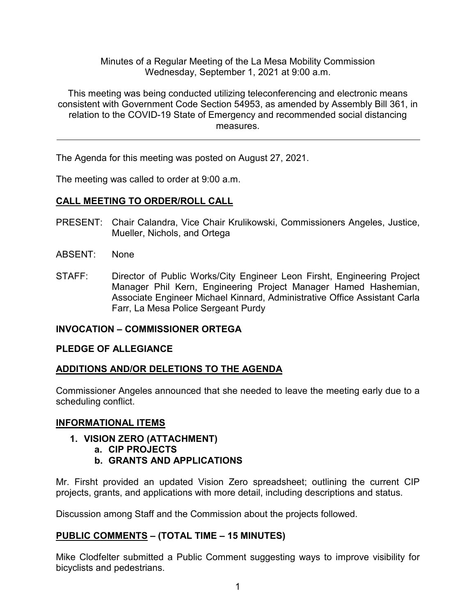Minutes of a Regular Meeting of the La Mesa Mobility Commission Wednesday, September 1, 2021 at 9:00 a.m.

This meeting was being conducted utilizing teleconferencing and electronic means consistent with Government Code Section 54953, as amended by Assembly Bill 361, in relation to the COVID-19 State of Emergency and recommended social distancing measures.

The Agenda for this meeting was posted on August 27, 2021.

The meeting was called to order at 9:00 a.m.

# **CALL MEETING TO ORDER/ROLL CALL**

- PRESENT: Chair Calandra, Vice Chair Krulikowski, Commissioners Angeles, Justice, Mueller, Nichols, and Ortega
- ABSENT: None
- STAFF: Director of Public Works/City Engineer Leon Firsht, Engineering Project Manager Phil Kern, Engineering Project Manager Hamed Hashemian, Associate Engineer Michael Kinnard, Administrative Office Assistant Carla Farr, La Mesa Police Sergeant Purdy

## **INVOCATION – COMMISSIONER ORTEGA**

## **PLEDGE OF ALLEGIANCE**

## **ADDITIONS AND/OR DELETIONS TO THE AGENDA**

Commissioner Angeles announced that she needed to leave the meeting early due to a scheduling conflict.

## **INFORMATIONAL ITEMS**

- **1. VISION ZERO (ATTACHMENT)**
	- **a. CIP PROJECTS**
	- **b. GRANTS AND APPLICATIONS**

Mr. Firsht provided an updated Vision Zero spreadsheet; outlining the current CIP projects, grants, and applications with more detail, including descriptions and status.

Discussion among Staff and the Commission about the projects followed.

## **PUBLIC COMMENTS – (TOTAL TIME – 15 MINUTES)**

Mike Clodfelter submitted a Public Comment suggesting ways to improve visibility for bicyclists and pedestrians.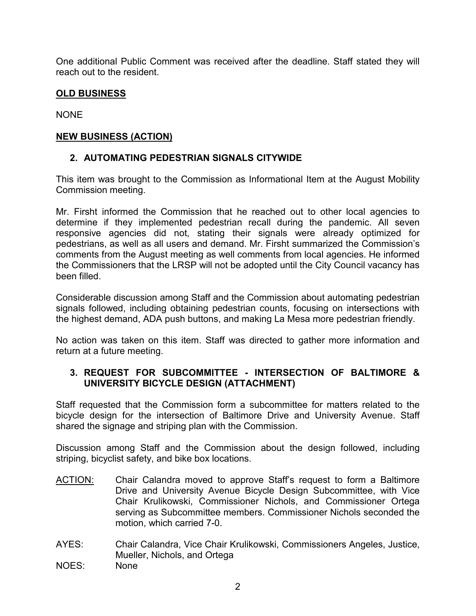One additional Public Comment was received after the deadline. Staff stated they will reach out to the resident.

### **OLD BUSINESS**

NONE

### **NEW BUSINESS (ACTION)**

## **2. AUTOMATING PEDESTRIAN SIGNALS CITYWIDE**

This item was brought to the Commission as Informational Item at the August Mobility Commission meeting.

Mr. Firsht informed the Commission that he reached out to other local agencies to determine if they implemented pedestrian recall during the pandemic. All seven responsive agencies did not, stating their signals were already optimized for pedestrians, as well as all users and demand. Mr. Firsht summarized the Commission's comments from the August meeting as well comments from local agencies. He informed the Commissioners that the LRSP will not be adopted until the City Council vacancy has been filled.

Considerable discussion among Staff and the Commission about automating pedestrian signals followed, including obtaining pedestrian counts, focusing on intersections with the highest demand, ADA push buttons, and making La Mesa more pedestrian friendly.

No action was taken on this item. Staff was directed to gather more information and return at a future meeting.

### **3. REQUEST FOR SUBCOMMITTEE - INTERSECTION OF BALTIMORE & UNIVERSITY BICYCLE DESIGN (ATTACHMENT)**

Staff requested that the Commission form a subcommittee for matters related to the bicycle design for the intersection of Baltimore Drive and University Avenue. Staff shared the signage and striping plan with the Commission.

Discussion among Staff and the Commission about the design followed, including striping, bicyclist safety, and bike box locations.

- ACTION: Chair Calandra moved to approve Staff's request to form a Baltimore Drive and University Avenue Bicycle Design Subcommittee, with Vice Chair Krulikowski, Commissioner Nichols, and Commissioner Ortega serving as Subcommittee members. Commissioner Nichols seconded the motion, which carried 7-0.
- AYES: Chair Calandra, Vice Chair Krulikowski, Commissioners Angeles, Justice, Mueller, Nichols, and Ortega
- NOES: None